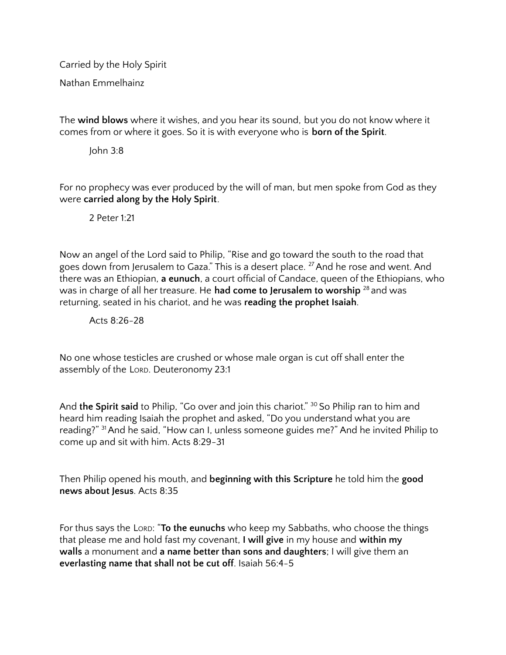Carried by the Holy Spirit

Nathan Emmelhainz

The **wind blows** where it wishes, and you hear its sound, but you do not know where it comes from or where it goes. So it is with everyone who is **born of the Spirit**.

John 3:8

For no prophecy was ever produced by the will of man, but men spoke from God as they were **carried along by the Holy Spirit**.

2 Peter 1:21

Now an angel of the Lord said to Philip, "Rise and go toward the south to the road that goes down from Jerusalem to Gaza." This is a desert place. <sup>27</sup> And he rose and went. And there was an Ethiopian, **a eunuch**, a court official of Candace, queen of the Ethiopians, who was in charge of all her treasure. He **had come to Jerusalem to worship** <sup>28</sup> and was returning, seated in his chariot, and he was **reading the prophet Isaiah**.

Acts 8:26-28

No one whose testicles are crushed or whose male organ is cut off shall enter the assembly of the LORD. Deuteronomy 23:1

And **the Spirit said** to Philip, "Go over and join this chariot." <sup>30</sup> So Philip ran to him and heard him reading Isaiah the prophet and asked, "Do you understand what you are reading?" <sup>31</sup> And he said, "How can I, unless someone guides me?" And he invited Philip to come up and sit with him. Acts 8:29-31

Then Philip opened his mouth, and **beginning with this Scripture** he told him the **good news about Jesus**. Acts 8:35

For thus says the LORD: "**To the eunuchs** who keep my Sabbaths, who choose the things that please me and hold fast my covenant, **I will give** in my house and **within my walls** a monument and **a name better than sons and daughters**; I will give them an **everlasting name that shall not be cut off**. Isaiah 56:4-5